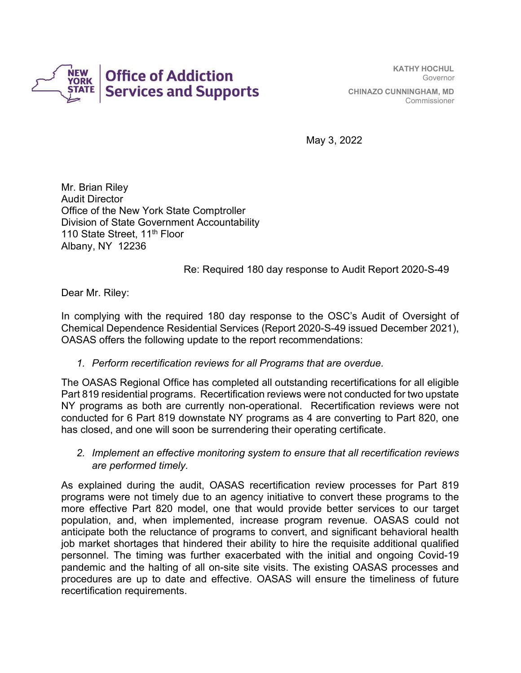

KATHY HOCHUL Governor CHINAZO CUNNINGHAM, MD Commissioner

May 3, 2022

Mr. Brian Riley Audit Director Office of the New York State Comptroller Division of State Government Accountability 110 State Street, 11<sup>th</sup> Floor Albany, NY 12236

Re: Required 180 day response to Audit Report 2020-S-49

Dear Mr. Riley:

In complying with the required 180 day response to the OSC's Audit of Oversight of Chemical Dependence Residential Services (Report 2020-S-49 issued December 2021), OASAS offers the following update to the report recommendations:

1. Perform recertification reviews for all Programs that are overdue.

The OASAS Regional Office has completed all outstanding recertifications for all eligible Part 819 residential programs. Recertification reviews were not conducted for two upstate NY programs as both are currently non-operational. Recertification reviews were not conducted for 6 Part 819 downstate NY programs as 4 are converting to Part 820, one has closed, and one will soon be surrendering their operating certificate.

2. Implement an effective monitoring system to ensure that all recertification reviews are performed timely.

As explained during the audit, OASAS recertification review processes for Part 819 programs were not timely due to an agency initiative to convert these programs to the more effective Part 820 model, one that would provide better services to our target population, and, when implemented, increase program revenue. OASAS could not anticipate both the reluctance of programs to convert, and significant behavioral health job market shortages that hindered their ability to hire the requisite additional qualified personnel. The timing was further exacerbated with the initial and ongoing Covid-19 pandemic and the halting of all on-site site visits. The existing OASAS processes and procedures are up to date and effective. OASAS will ensure the timeliness of future recertification requirements.